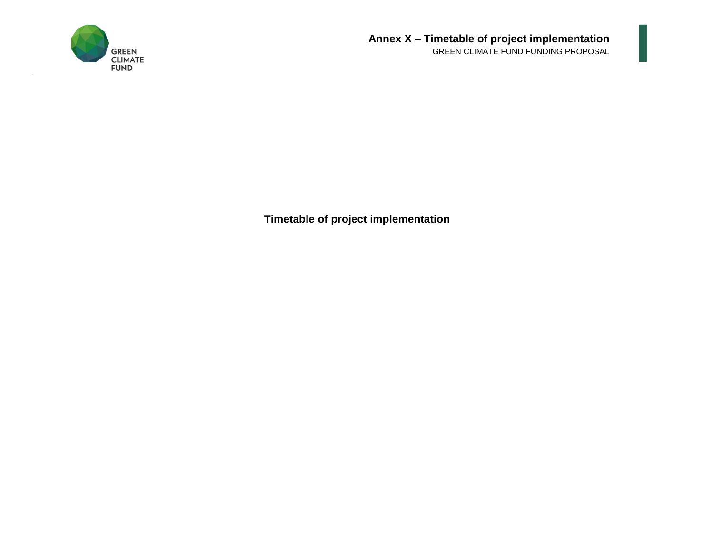

**Timetable of project implementation**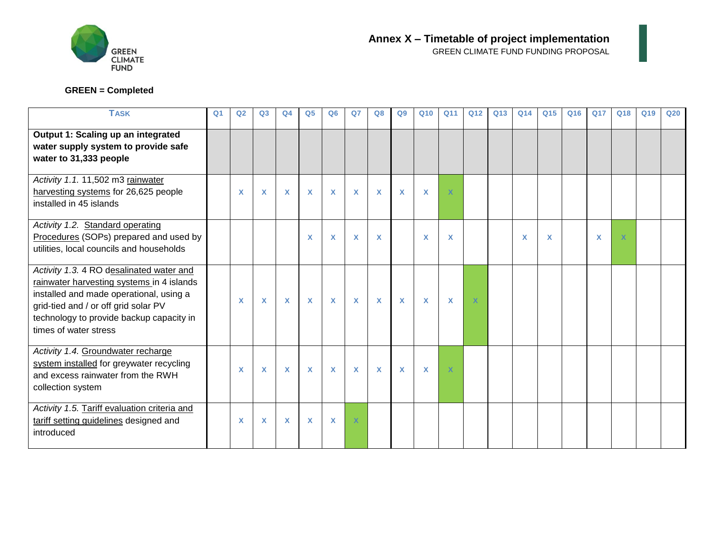

## **GREEN = Completed**

| <b>TASK</b>                                                                                                                                                                                                                                   | Q <sub>1</sub> | Q <sub>2</sub>            | Q3           | Q <sub>4</sub> | Q <sub>5</sub> | Q <sub>6</sub>            | Q <sub>7</sub> | Q8           | Q <sub>9</sub> | Q <sub>10</sub> | Q <sub>11</sub> | Q <sub>12</sub>           | Q13 | Q14 | Q <sub>15</sub>           | Q <sub>16</sub> | <b>Q17</b> | Q18         | Q19 | Q <sub>20</sub> |
|-----------------------------------------------------------------------------------------------------------------------------------------------------------------------------------------------------------------------------------------------|----------------|---------------------------|--------------|----------------|----------------|---------------------------|----------------|--------------|----------------|-----------------|-----------------|---------------------------|-----|-----|---------------------------|-----------------|------------|-------------|-----|-----------------|
| Output 1: Scaling up an integrated<br>water supply system to provide safe<br>water to 31,333 people                                                                                                                                           |                |                           |              |                |                |                           |                |              |                |                 |                 |                           |     |     |                           |                 |            |             |     |                 |
| Activity 1.1.11,502 m3 rainwater<br>harvesting systems for 26,625 people<br>installed in 45 islands                                                                                                                                           |                | $\boldsymbol{\mathsf{x}}$ | $\mathbf x$  | X              | X              | $\mathbf x$               | $\mathbf x$    | $\mathbf{x}$ | X              | X               | $\mathbf x$     |                           |     |     |                           |                 |            |             |     |                 |
| Activity 1.2. Standard operating<br>Procedures (SOPs) prepared and used by<br>utilities, local councils and households                                                                                                                        |                |                           |              |                | X              | $\boldsymbol{\mathsf{x}}$ | X              | X            |                | X               | X               |                           |     | X   | $\boldsymbol{\mathsf{x}}$ |                 | X          | $\mathbf x$ |     |                 |
| Activity 1.3. 4 RO desalinated water and<br>rainwater harvesting systems in 4 islands<br>installed and made operational, using a<br>grid-tied and / or off grid solar PV<br>technology to provide backup capacity in<br>times of water stress |                | $\mathbf x$               | X            | X              | $\mathsf{X}$   | $\boldsymbol{\mathsf{x}}$ | $\mathbf x$    | $\mathbf{x}$ | X              | $\mathsf{X}$    | X               | $\boldsymbol{\mathsf{x}}$ |     |     |                           |                 |            |             |     |                 |
| Activity 1.4. Groundwater recharge<br>system installed for greywater recycling<br>and excess rainwater from the RWH<br>collection system                                                                                                      |                | X                         | $\mathbf{x}$ | $\mathbf{x}$   | $\mathbf{x}$   | $\mathbf{x}$              | $\mathbf{x}$   | $\mathbf{x}$ | X              | $\mathbf{x}$    | $\mathbf x$     |                           |     |     |                           |                 |            |             |     |                 |
| Activity 1.5. Tariff evaluation criteria and<br>tariff setting guidelines designed and<br>introduced                                                                                                                                          |                | X                         | $\mathbf{x}$ | X              | $\mathbf{x}$   | $\mathbf x$               | $\mathbf x$    |              |                |                 |                 |                           |     |     |                           |                 |            |             |     |                 |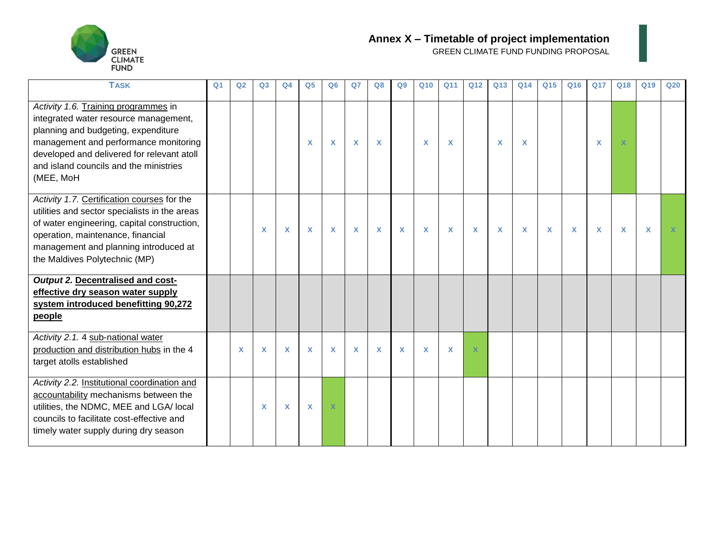

| <b>TASK</b>                                                                                                                                                                                                                                                        | Q <sub>1</sub> | Q2          | Q <sub>3</sub> | Q <sub>4</sub> | Q <sub>5</sub> | Q <sub>6</sub>            | Q <sub>7</sub> | Q8       | Q9 | Q <sub>10</sub> | Q <sub>11</sub> | Q <sub>12</sub> | Q13 | Q14                       | Q <sub>15</sub> | Q16          | <b>Q17</b> | Q18                       | Q19                       | Q <sub>20</sub> |
|--------------------------------------------------------------------------------------------------------------------------------------------------------------------------------------------------------------------------------------------------------------------|----------------|-------------|----------------|----------------|----------------|---------------------------|----------------|----------|----|-----------------|-----------------|-----------------|-----|---------------------------|-----------------|--------------|------------|---------------------------|---------------------------|-----------------|
| Activity 1.6. Training programmes in<br>integrated water resource management,<br>planning and budgeting, expenditure<br>management and performance monitoring<br>developed and delivered for relevant atoll<br>and island councils and the ministries<br>(MEE, MoH |                |             |                |                | X              | X                         | $\mathbf x$    | <b>X</b> |    | X               | X               |                 | X   | X                         |                 |              | X          |                           |                           |                 |
| Activity 1.7. Certification courses for the<br>utilities and sector specialists in the areas<br>of water engineering, capital construction,<br>operation, maintenance, financial<br>management and planning introduced at<br>the Maldives Polytechnic (MP)         |                |             | X              | X              | X              | $\boldsymbol{\mathsf{x}}$ | $\mathbf x$    | X        | X  | X               | X               | $\mathbf x$     | X   | $\boldsymbol{\mathsf{X}}$ | X               | $\mathbf{x}$ | X          | $\boldsymbol{\mathsf{x}}$ | $\boldsymbol{\mathsf{x}}$ |                 |
| Output 2. Decentralised and cost-<br>effective dry season water supply<br>system introduced benefitting 90,272<br>people                                                                                                                                           |                |             |                |                |                |                           |                |          |    |                 |                 |                 |     |                           |                 |              |            |                           |                           |                 |
| Activity 2.1. 4 sub-national water<br>production and distribution hubs in the 4<br>target atolls established                                                                                                                                                       |                | $\mathbf x$ | X              | X              | X              | X                         | X              | X        | X  | X               | X               |                 |     |                           |                 |              |            |                           |                           |                 |
| Activity 2.2. Institutional coordination and<br>accountability mechanisms between the<br>utilities, the NDMC, MEE and LGA/ local<br>councils to facilitate cost-effective and<br>timely water supply during dry season                                             |                |             | X              | X              | X              |                           |                |          |    |                 |                 |                 |     |                           |                 |              |            |                           |                           |                 |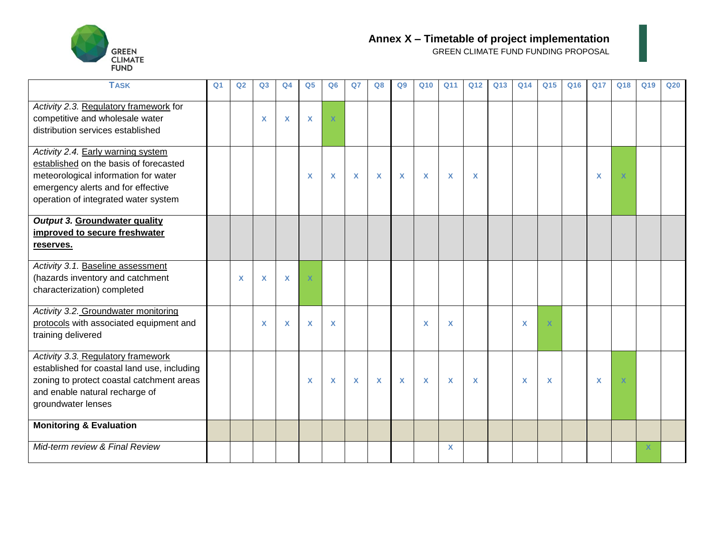

| <b>TASK</b>                                                                                                                                                                                        | Q <sub>1</sub> | Q <sub>2</sub> | Q <sub>3</sub> | Q <sub>4</sub>            | Q <sub>5</sub>          | Q6                        | Q <sub>7</sub> | Q8           | Q9           | Q <sub>10</sub> | Q11         | Q12          | Q13 | Q14         | Q15          | Q16 | <b>Q17</b> | Q18         | Q19 | Q20 |
|----------------------------------------------------------------------------------------------------------------------------------------------------------------------------------------------------|----------------|----------------|----------------|---------------------------|-------------------------|---------------------------|----------------|--------------|--------------|-----------------|-------------|--------------|-----|-------------|--------------|-----|------------|-------------|-----|-----|
| Activity 2.3. Regulatory framework for<br>competitive and wholesale water<br>distribution services established                                                                                     |                |                | X              | $\boldsymbol{\mathsf{x}}$ | X                       | $\mathbf x$               |                |              |              |                 |             |              |     |             |              |     |            |             |     |     |
| Activity 2.4. Early warning system<br>established on the basis of forecasted<br>meteorological information for water<br>emergency alerts and for effective<br>operation of integrated water system |                |                |                |                           | X                       | $\boldsymbol{\mathsf{X}}$ | $\mathbf x$    | $\mathbf{x}$ | $\mathbf{x}$ | $\mathbf x$     | $\mathbf x$ | $\mathbf{x}$ |     |             |              |     | X          | $\mathbf x$ |     |     |
| <b>Output 3. Groundwater quality</b><br>improved to secure freshwater<br>reserves.                                                                                                                 |                |                |                |                           |                         |                           |                |              |              |                 |             |              |     |             |              |     |            |             |     |     |
| Activity 3.1. Baseline assessment<br>(hazards inventory and catchment<br>characterization) completed                                                                                               |                | $\mathbf x$    | X              | $\mathsf{x}$              | $\overline{\mathsf{x}}$ |                           |                |              |              |                 |             |              |     |             |              |     |            |             |     |     |
| Activity 3.2. Groundwater monitoring<br>protocols with associated equipment and<br>training delivered                                                                                              |                |                | X              | $\boldsymbol{\mathsf{x}}$ | X                       | $\boldsymbol{\mathsf{x}}$ |                |              |              | X               | X           |              |     | X           | $\mathbf{x}$ |     |            |             |     |     |
| Activity 3.3. Regulatory framework<br>established for coastal land use, including<br>zoning to protect coastal catchment areas<br>and enable natural recharge of<br>groundwater lenses             |                |                |                |                           | $\mathbf x$             | $\boldsymbol{\mathsf{X}}$ | $\mathbf{x}$   | $\mathbf{x}$ | $\mathbf{x}$ | $\mathbf x$     | X           | $\mathbf{x}$ |     | $\mathbf x$ | $\mathsf{x}$ |     | X          | $\mathbf x$ |     |     |
| <b>Monitoring &amp; Evaluation</b>                                                                                                                                                                 |                |                |                |                           |                         |                           |                |              |              |                 |             |              |     |             |              |     |            |             |     |     |
| Mid-term review & Final Review                                                                                                                                                                     |                |                |                |                           |                         |                           |                |              |              |                 | X           |              |     |             |              |     |            |             |     |     |